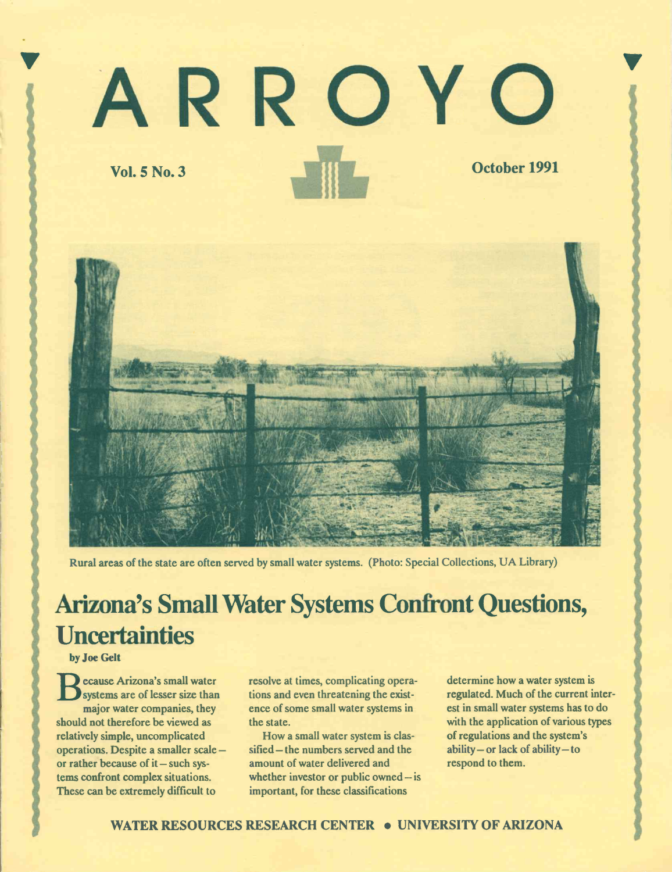# 'ARROYO Vol. 5 No. 3 October 1991



Rural areas of the state are often served by small water systems. (Photo: Special Collections, UA Library)

## Arizona's Small Water Systems Confront Questions, **Uncertainties**

by Joe Gelt

 $\mathbf{S}$ 

**B** systems are of lesser size than tions ecause Arizona's small water major water companies, they should not therefore be viewed as relatively simple, uncomplicated operations. Despite a smaller scale or rather because of  $it$  - such systems confront complex situations. These can be extremely difficult to

resolve at times, complicating operations and even threatening the existence of some small water systems in the state.

How a small water system is ciassified – the numbers served and the amount of water delivered and whether investor or public owned  $-\mathrm{is}$ important, for these classifications

determine how a water system is regulated. Much of the current interest in small water systems has to do with the application of various types of regulations and the system's ability - or lack of ability - to respond to them.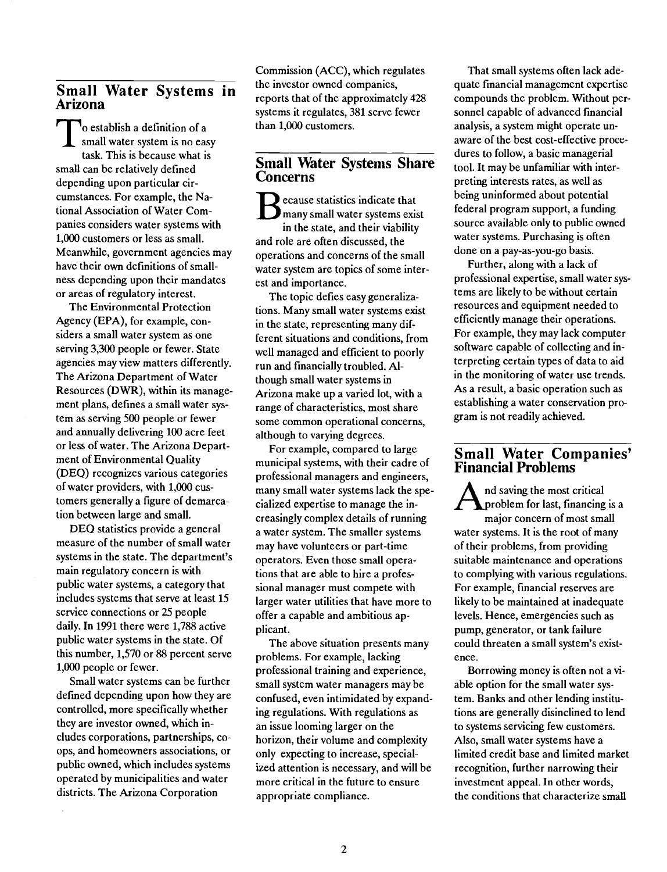# Small Water Systems in Arizona

 $\sum_{n=1}^{\infty} \frac{1}{n} \cosh(n) \cdot \sin(n) \cdot \sin(n) \cdot \sin(n) \cdot \sin(n) \cdot \sin(n) \cdot \sin(n) \cdot \sin(n) \cdot \sin(n) \cdot \sin(n) \cdot \sin(n) \cdot \sin(n) \cdot \sin(n) \cdot \sin(n) \cdot \sin(n) \cdot \sin(n) \cdot \sin(n) \cdot \sin(n) \cdot \sin(n) \cdot \sin(n) \cdot \sin(n) \cdot \sin(n) \cdot \sin(n) \cdot \sin(n) \cdot \sin(n) \cdot \sin(n) \cdot \sin(n) \cdot \sin(n) \cdot \sin(n) \cdot \sin(n) \cdot \sin(n) \cdot \sin(n) \cdot \sin(n) \cdot \sin$ task. This is because what is small can be relatively defined depending upon particular circumstances. For example, the National Association of Water Companies considers water systems with 1,000 customers or less as small. Meanwhile, government agencies may have their own definitions of smallness depending upon their mandates or areas of regulatory interest.

The Environmental Protection Agency (EPA), for example, considers a small water system as one serving 3,300 people or fewer. State agencies may view matters differently. The Arizona Department of Water Resources (DWR), within its management plans, defmes a small water system as serving 500 people or fewer and annually delivering 100 acre feet or less of water. The Arizona Department of Environmental Quality (DEQ) recognizes various categories of water providers, with 1,000 customers generally a figure of demarcation between large and small.

DEQ statistics provide a general measure of the number of small water systems in the state. The department's main regulatory concern is with public water systems, a category that includes systems that serve at least 15 service connections or 25 people daily. In 1991 there were 1,788 active public water systems in the state. Of this number, 1,570 or 88 percent serve 1,000 people or fewer.

Small water systems can be further defined depending upon how they are controlled, more specifically whether they are investor owned, which includes corporations, partnerships, coops, and homeowners associations, or public owned, which includes systems operated by municipalities and water districts. The Arizona Corporation

Commission (ACC), which regulates the investor owned companies, reports that of the approximately 428 systems it regulates, 381 serve fewer than 1,000 customers.

### Small Water Systems Share Concerns

 $\sum$  many small water systems exist statistics indicate that in the state, and their viability and role are often discussed, the operations and concerns of the small water system are topics of some interest and importance.

The topic defies easy generalizations. Many small water systems exist in the state, representing many different situations and conditions, from well managed and efficient to poorly run and financially troubled. Although small water systems in Arizona make up a varied lot, with a range of characteristics, most share some common operational concerns, although to varying degrees.

For example, compared to large municipal systems, with their cadre of professional managers and engineers, many small water systems lack the specialized expertise to manage the increasingly complex details of running a water system. The smaller systems may have volunteers or part-time operators. Even those small operations that are able to hire a professional manager must compete with larger water utilities that have more to offer a capable and ambitious applicant.

The above situation presents many problems. For example, lacking professional training and experience, small system water managers may be confused, even intimidated by expanding regulations. With regulations as an issue looming larger on the horizon, their volume and complexity only expecting to increase, specialized attention is necessary, and will be more critical in the future to ensure appropriate compliance.

That small systems often lack adequate financial management expertise compounds the problem. Without personnel capable of advanced financial analysis, a system might operate unaware of the best cost-effective procedures to follow, a basic managerial tool. It may be unfamiliar with interpreting interests rates, as well as being uninformed about potential federal program support, a funding source available oniy to public owned water systems. Purchasing is often done on a pay-as-you-go basis.

Further, along with a lack of professional expertise, small water systems are likely to be without certain resources and equipment needed to efficiently manage their operations. For example, they may lack computer software capable of collecting and interpreting certain types of data to aid in the monitoring of water use trends. As a result, a basic operation such as establishing a water conservation program is not readily achieved.

# Small Water Companies' Financial Problems

A nd saving the most critical<br>problem for last, financing is a major concern of most small water systems. It is the root of many of their problems, from providing suitable maintenance and operations to complying with various regulations. For example, financial reserves are likely to be maintained at inadequate levels. Hence, emergencies such as pump, generator, or tank failure could threaten a small system's existence.

Borrowing money is often not a viable option for the small water system. Banks and other lending institutions are generally disinclined to lend to systems servicing few customers. Also, small water systems have a limited credit base and limited market recognition, further narrowing their investment appeal. In other words, the conditions that characterize small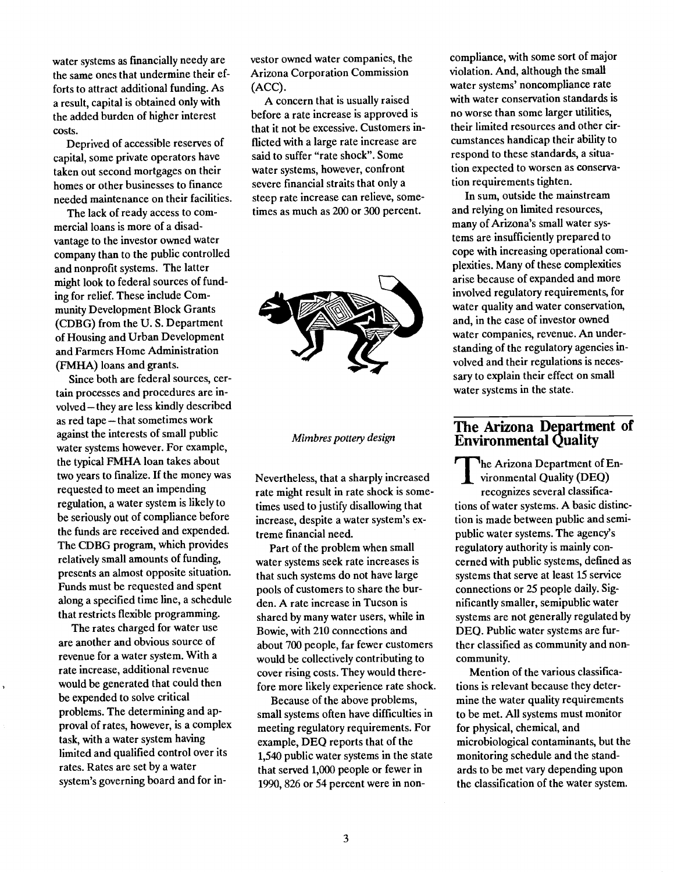water systems as financially needy are the same ones that undermine their efforts to attract additional funding. As a result, capital is obtained only with the added burden of higher interest costs.

Deprived of accessible reserves of capital, some private operators have taken out second mortgages on their homes or other businesses to finance needed maintenance on their facilities.

The lack of ready access to commercial loans is more of a disadvantage to the investor owned water company than to the public controlled and nonprofit systems. The latter might look to federal sources of funding for relief. These include Community Development Block Grants (CDBG) from the U. S. Department of Housing and Urban Development and Farmers Home Administration (FMHA) loans and grants.

Since both are federal sources, certain processes and procedures are involved - they are less kindly described as red tape - that sometimes work against the interests of small public water systems however. For example, the typical FMHA loan takes about two years to finalize. If the money was requested to meet an impending regulation, a water system is likely to be seriously out of compliance before the funds are received and expended. The CDBG program, which provides relatively small amounts of funding, presents an almost opposite situation. Funds must be requested and spent along a specified time line, a schedule that restricts flexible programming.

The rates charged for water use are another and obvious source of revenue for a water system. With a rate increase, additional revenue would be generated that could then be expended to solve critical problems. The determining and approval of rates, however, is a complex task, with a water system having limited and qualified control over its rates. Rates are set by a water system's governing board and for investor owned water companies, the Arizona Corporation Commission (ACC).

A concern that is usually raised before a rate increase is approved is that it not be excessive. Customers inflicted with a large rate increase are said to suffer "rate shock". Some water systems, however, confront severe financial straits that only a steep rate increase can relieve, sometimes as much as 200 or 300 percent.



Mimbres pottery design

Nevertheless, that a sharply increased rate might result in rate shock is sometimes used to justify disallowing that increase, despite a water system's extreme financial need.

Part of the problem when small water systems seek rate increases is that such systems do not have large pools of customers to share the burden. A rate increase in Tucson is shared by many water users, while in Bowie, with 210 connections and about 700 people, far fewer customers would be collectively contributing to cover rising costs. They would therefore more likely experience rate shock.

Because of the above problems, small systems often have difficulties in meeting regulatory requirements. For example, DEQ reports that of the 1,540 public water systems in the state that served 1,000 people or fewer in 1990, 826 or 54 percent were in noncompliance, with some sort of major violation. And, although the small water systems' noncompliance rate with water conservation standards is no worse than some larger utilities, their limited resources and other circumstances handicap their ability to respond to these standards, a situation expected to worsen as conservation requirements tighten.

In sum, outside the mainstream and relying on limited resources, many of Arizona's small water systems are insufficiently prepared to cope with increasing operational complexities. Many of these complexities arise because of expanded and more involved regulatory requirements, for water quality and water conservation, and, in the case of investor owned water companies, revenue. An understanding of the regulatory agencies involved and their regulations is necessary to explain their effect on small water systems in the state.

### The Arizona Department of Environmental Quality

The Arizona Department of En The Arizona Department of Enrecognizes several classifications of water systems. A basic distinction is made between public and semipublic water systems. The agency's regulatory authority is mainly concerned with public systems, defined as systems that serve at least 15 service connections or 25 people daily. Significantly smaller, semipublic water systems are not generally regulated by DEQ. Public water systems are further classified as community and noncommunity.

Mention of the various classifications is relevant because they determine the water quality requirements to be met. All systems must monitor for physical, chemical, and microbiological contaminants, but the monitoring schedule and the standards to be met vary depending upon the classification of the water system.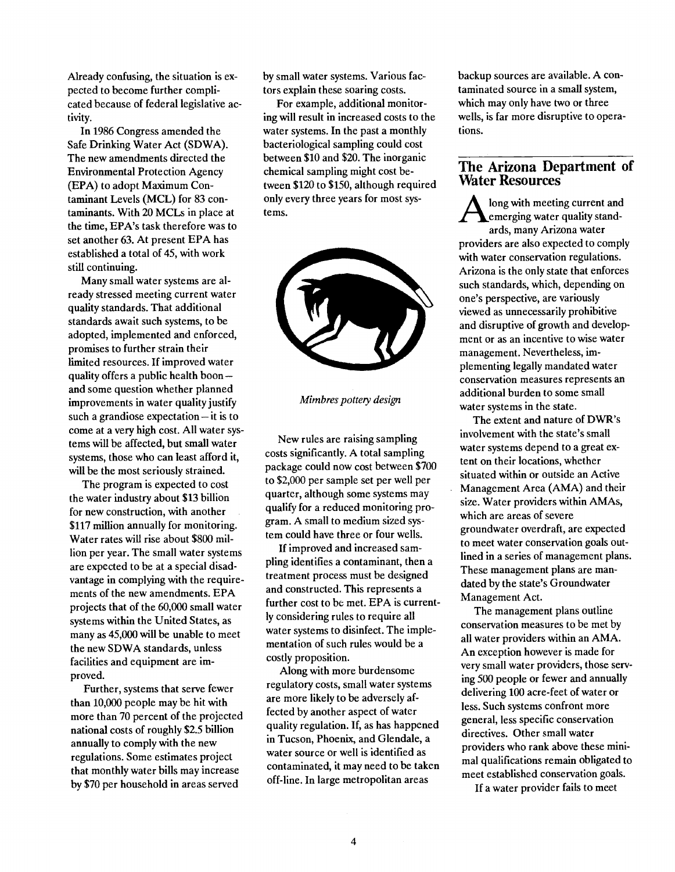Already confusing, the situation is expected to become further complicated because of federal legislative activity.

In 1986 Congress amended the Safe Drinking Water Act (SDWA). The new amendments directed the Environmental Protection Agency (EPA) to adopt Maximum Contaminant Levels (MCL) for 83 contaminants. With 20 MCLs in place at the time, EPA's task therefore was to set another 63. At present EPA has established a total of 45, with work still continuing.

Many small water systems are already stressed meeting current water quality standards. That additional standards await such systems, to be adopted, implemented and enforced, promises to further strain their limited resources. If improved water quality offers a public health boon -and some question whether planned improvements in water quality justify such a grandiose expectation  $-$  it is to come at a very high cost. All water systems will be affected, but small water systems, those who can least afford it, will be the most seriously strained.

The program is expected to cost the water industry about \$13 billion for new construction, with another \$117 million annually for monitoring. Water rates will rise about \$800 million per year. The small water systems are expected to be at a special disadvantage in complying with the requirements of the new amendments. EPA projects that of the 60,000 small water systems within the United States, as many as 45,000 will be unable to meet the new SDWA standards, unless facilities and equipment are improved.

Further, systems that serve fewer than 10,000 people may be hit with more than 70 percent of the projected national costs of roughly \$2.5 billion annually to comply with the new regulations. Some estimates project that monthly water bills may increase by \$70 per household in areas served

by small water systems. Various factors explain these soaring costs.

For example, additional monitoring will result in increased costs to the water systems. In the past a monthly bacteriological sampling could cost between \$10 and \$20. The inorganic chemical sampling might cost between \$120 to \$150, although required only every three years for most systems.



Mimbres pottery design

New rules are raising sampling costs significantly. A total sampling package could now cost between \$700 to \$2,000 per sample set per well per quarter, although some systems may qualify for a reduced monitoring program. A small to medium sized system could have three or four wells.

If improved and increased sampling identifies a contaminant, then a treatment process must be designed and constructed. This represents a further cost to be met. EPA is currently considering rules to require all water systems to disinfect. The implementation of such rules would be a costly proposition.

Along with more burdensome regulatory costs, small water systems are more likely to be adversely affected by another aspect of water quality regulation. If, as has happened in Tucson, Phoenix, and Glendale, a water source or well is identified as contaminated, it may need to be taken off-line. In large metropolitan areas

backup sources are available. A contaminated source in a small system, which may only have two or three wells, is far more disruptive to operations.

#### The Arizona Department of Water Resources

**A** emerging water quality standlong with meeting current and ards, many Arizona water providers are also expected to comply with water conservation regulations. Arizona is the only state that enforces such standards, which, depending on one's perspective, are variously viewed as unnecessarily prohibitive and disruptive of growth and development or as an incentive to wise water management. Nevertheless, implementing legally mandated water conservation measures represents an additional burden to some small water systems in the state.

The extent and nature of DWR's involvement with the state's small water systems depend to a great extent on their locations, whether situated within or outside an Active Management Area (AMA) and their size. Water providers within AMAs, which are areas of severe groundwater overdraft, are expected to meet water conservation goals outlined in a series of management plans. These management plans are mandated by the state's Groundwater Management Act.

The management plans outline conservation measures to be met by all water providers within an AMA. An exception however is made for very small water providers, those serving 500 people or fewer and annually delivering 100 acre-feet of water or less. Such systems confront more general, less specific conservation directives. Other small water providers who rank above these minimal qualifications remain obligated to meet established conservation goals.

If a water provider fails to meet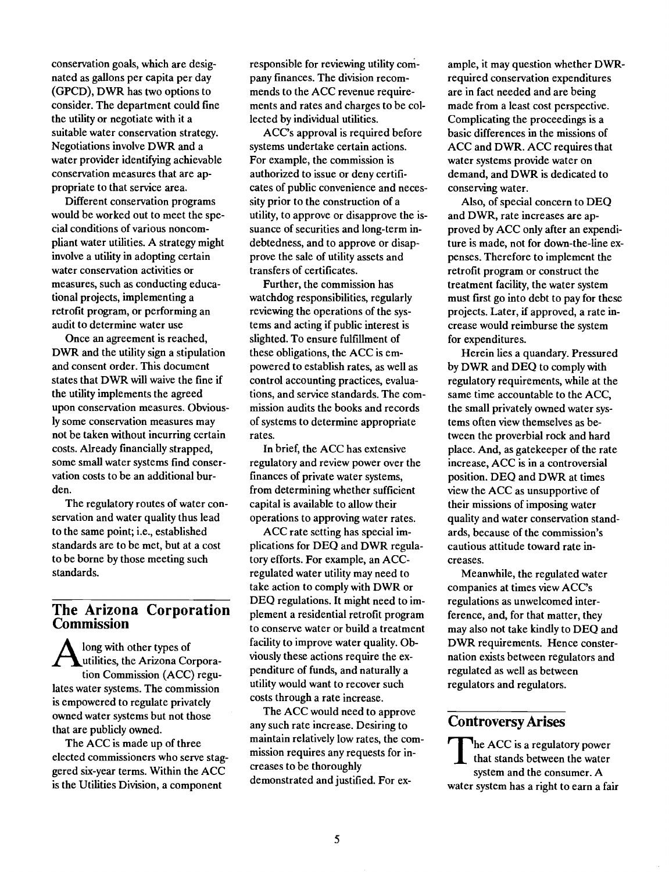conservation goals, which are designated as gallons per capita per day (GPCD), DWR has two options to consider. The department could fine the utility or negotiate with it a suitable water conservation strategy. Negotiations involve DWR and a water provider identifying achievable conservation measures that are appropriate to that service area.

Different conservation programs would be worked out to meet the special conditions of various noncompliant water utilities. A strategy might involve a utility in adopting certain water conservation activities or measures, such as conducting educational projects, implementing a retrofit program, or performing an audit to determine water use

Once an agreement is reached, DWR and the utility sign a stipulation and consent order. This document states that DWR will waive the fine if the utility implements the agreed upon conservation measures. Obviously some conservation measures may not be taken without incurring certain costs. Already financially strapped, some small water systems find conservation costs to be an additional burden.

The regulatory routes of water conservation and water quality thus lead to the same point; i.e., established standards are to be met, but at a cost to be borne by those meeting such standards.

### The Arizona Corporation Commission

Autilities, the Arizona Corporalong with other types of tion Commission (ACC) regulates water systems. The commission is empowered to regulate privately owned water systems but not those that are publicly owned.

The ACC is made up of three elected commissioners who serve staggered six-year terms. Within the ACC is the Utilities Division, a component

responsible for reviewing utility company finances. The division recommends to the ACC revenue requirements and rates and charges to be collected by individual utilities.

ACC's approval is required before systems undertake certain actions. For example, the commission is authorized to issue or deny certificates of public convenience and necessity prior to the construction of a utility, to approve or disapprove the issuance of securities and long-term indebtedness, and to approve or disapprove the sale of utility assets and transfers of certificates.

Further, the commission has watchdog responsibilities, regularly reviewing the operations of the systems and acting if public interest is slighted. To ensure fulfillment of these obligations, the ACC is empowered to establish rates, as well as control accounting practices, evaluations, and service standards. The commission audits the books and records of systems to determine appropriate rates.

In brief, the ACC has extensive regulatory and review power over the finances of private water systems, from determining whether sufficient capital is available to allow their operations to approving water rates.

ACC rate setting has special implications for DEQ and DWR regulatory efforts. For example, an ACCregulated water utility may need to take action to comply with DWR or DEQ regulations. It might need to implement a residential retrofit program to conserve water or build a treatment facility to improve water quality. Obviously these actions require the expenditure of funds, and naturally a utility would want to recover such costs through a rate increase.

The ACC would need to approve any such rate increase. Desiring to maintain relatively low rates, the commission requires any requests for increases to be thoroughly demonstrated and justified. For ex-

ample, it may question whether DWRrequired conservation expenditures are in fact needed and are being made from a least cost perspective. Complicating the proceedings is a basic differences in the missions of ACC and DWR. ACC requires that water systems provide water on demand, and DWR is dedicated to conserving water.

Also, of special concern to DEQ and DWR, rate increases are approved by ACC only after an expenditure is made, not for down-the-line expenses. Therefore to implement the retrofit program or construct the treatment facility, the water system must first go into debt to pay for these projects. Later, if approved, a rate increase would reimburse the system for expenditures.

Herein lies a quandary. Pressured by DWR and DEQ to comply with regulatory requirements, while at the same time accountable to the ACC, the small privately owned water systems often view themselves as between the proverbial rock and hard place. And, as gatekeeper of the rate increase, ACC is in a controversial position. DEQ and DWR at times view the ACC as unsupportive of their missions of imposing water quality and water conservation standards, because of the commission's cautious attitude toward rate increases.

Meanwhile, the regulated water companies at times view ACC's regulations as unwelcomed interference, and, for that matter, they may also not take kindly to DEO and DWR requirements. Hence consternation exists between regulators and regulated as well as between regulators and regulators.

#### Controversy Arises

 $\sum_{n=1}^{\infty} \frac{1}{n}$  he ACC is a regulatory power system and the consumer. A water system has a right to earn a fair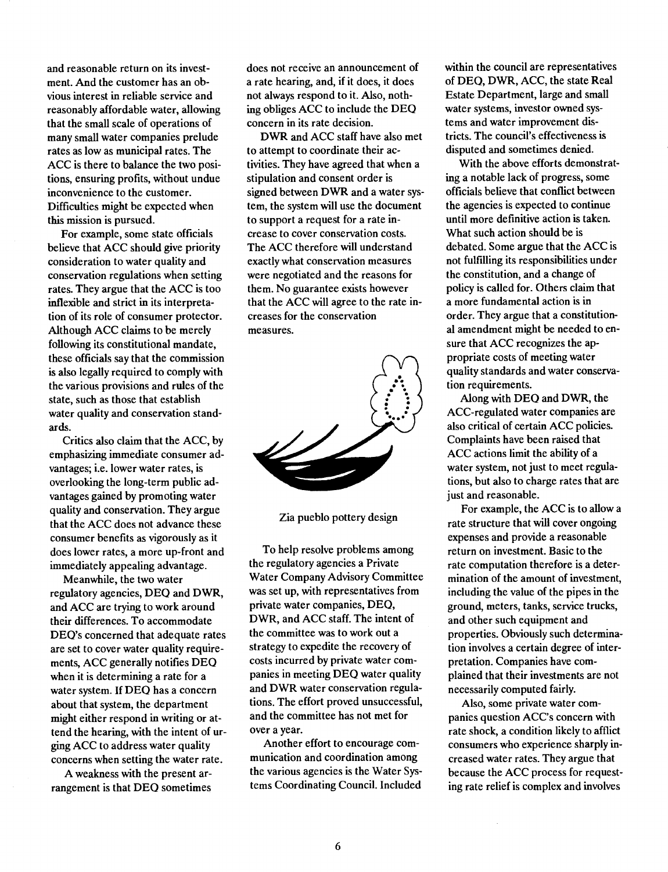and reasonable return on its investment. And the customer has an obvious interest in reliable service and reasonably affordable water, allowing that the small scale of operations of many small water companies prelude rates as low as municipal rates. The ACC is there to balance the two positions, ensuring profits, without undue inconvenience to the customer. Difficulties might be expected when this mission is pursued.

For example, some state officials believe that ACC should give priority consideration to water quality and conservation regulations when setting rates. They argue that the ACC is too inflexible and strict in its interpretation of its role of consumer protector. Although ACC claims to be merely following its constitutional mandate, these officials say that the commission is also legally required to comply with the various provisions and rules of the state, such as those that establish water quality and conservation standards.

Critics also claim that the ACC, by emphasizing immediate consumer advantages; i.e. lower water rates, is overlooking the long-term public advantages gained by promoting water quality and conservation. They argue that the ACC does not advance these consumer benefits as vigorously as it does lower rates, a more up-front and immediately appealing advantage.

Meanwhile, the two water regulatory agencies, DEQ and DWR, and ACC are trying to work around their differences. To accommodate DEQ's concerned that adequate rates are set to cover water quality requirements, ACC generally notifies DEQ when it is determining a rate for a water system. If DEO has a concern about that system, the department might either respond in writing or attend the hearing, with the intent of urging ACC to address water quality concerns when setting the water rate.

A weakness with the present arrangement is that DEO sometimes

does not receive an announcement of a rate hearing, and, if it does, it does not always respond to it. Also, nothing obliges ACC to include the DEQ concern in its rate decision.

DWR and ACC staff have also met to attempt to coordinate their activities. They have agreed that when a stipulation and consent order is signed between DWR and a water system, the system will use the document to support a request for a rate increase to cover conservation costs. The ACC therefore will understand exactly what conservation measures were negotiated and the reasons for them. No guarantee exists however that the ACC will agree to the rate increases for the conservation measures.



Zia pueblo pottery design

To help resolve problems among the regulatory agencies a Private Water Company Advisory Committee was set up, with representatives from private water companies, DEQ, DWR, and ACC staff. The intent of the committee was to work out a strategy to expedite the recovery of costs incurred by private water companies in meeting DEQ water quality and DWR water conservation regulations. The effort proved unsuccessful, and the committee has not met for over a year.

Another effort to encourage communication and coordination among the various agencies is the Water Systems Coordinating Council. Included

within the council are representatives of DEQ, DWR, ACC, the state Real Estate Department, large and small water systems, investor owned systems and water improvement districts. The council's effectiveness is disputed and sometimes denied.

With the above efforts demonstrating a notable lack of progress, some officials believe that conflict between the agencies is expected to continue until more definitive action is taken. What such action should be is debated. Some argue that the ACC is not fulfilling its responsibilities under the constitution, and a change of policy is called for. Others claim that a more fundamental action is in order. They argue that a constitutional amendment might be needed to ensure that ACC recognizes the appropriate costs of meeting water quality standards and water conservation requirements.

Along with DEQ and DWR, the ACC-regulated water companies are also critical of certain ACC policies. Complaints have been raised that ACC actions limit the ability of a water system, not just to meet regulations, but also to charge rates that are just and reasonable.

For example, the ACC is to allow a rate structure that will cover ongoing expenses and provide a reasonable return on investment. Basic to the rate computation therefore is a determination of the amount of investment, including the value of the pipes in the ground, meters, tanks, service trucks, and other such equipment and properties. Obviously such determination involves a certain degree of interpretation. Companies have complained that their investments are not necessarily computed fairly.

Also, some private water companies question ACC's concern with rate shock, a condition likely to afflict consumers who experience sharply increased water rates. They argue that because the ACC process for requesting rate relief is complex and involves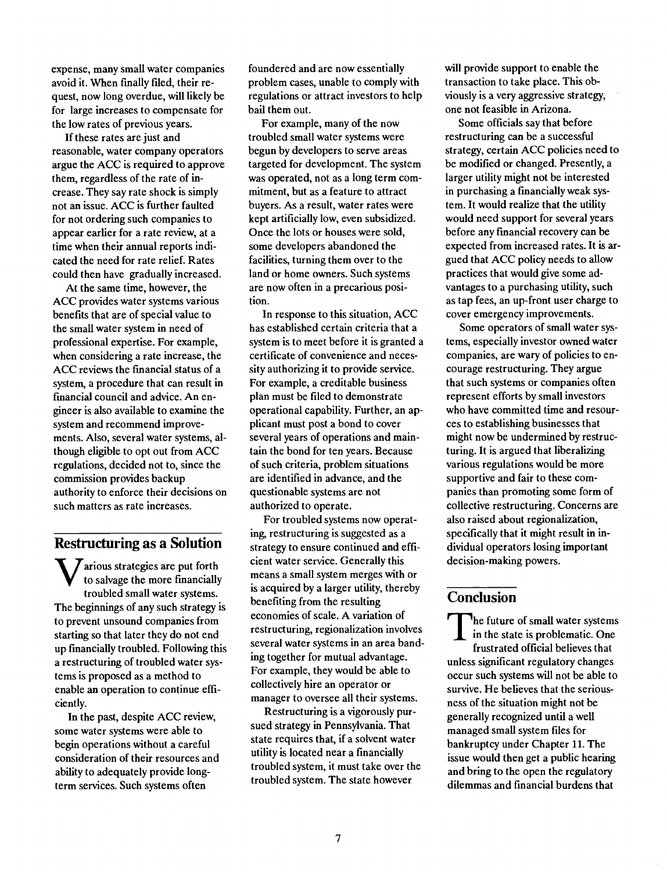expense, many small water companies avoid it. When finally filed, their request, now long overdue, will likely be for large increases to compensate for the low rates of previous years.

If these rates are just and reasonable, water company operators argue the ACC is required to approve them, regardless of the rate of increase. They say rate shock is simply not an issue. ACC is further faulted for not ordering such companies to appear earlier for a rate review, at a time when their annual reports indicated the need for rate relief. Rates could then have gradually increased.

At the same time, however, the ACC provides water systems various benefits that are of special value to the small water system in need of professional expertise. For example, when considering a rate increase, the ACC reviews the financial status of a system, a procedure that can result in financial council and advice. An engineer is also available to examine the system and recommend improvements. Also, several water systems, although eligible to opt out from ACC regulations, decided not to, since the commission provides backup authority to enforce their decisions on such matters as rate increases.

#### Restructuring as a Solution

 $\bf{V}$  to salvage the more financially  $\rm{meas}$  $\sum$  arious strategies are put forth troubled small water systems. The beginnings of any such strategy is to prevent unsound companies from starting so that later they do not end up financially troubled. Following this a restructuring of troubled water systems is proposed as a method to enable an operation to continue efficiently.

In the past, despite ACC review, some water systems were able to begin operations without a careful consideration of their resources and ability to adequately provide longterm services. Such systems often

foundered and are now essentially problem cases, unable to comply with regulations or attract investors to help bail them out.

For example, many of the now troubled small water systems were begun by developers to serve areas targeted for development. The system was operated, not as a long term commitment, but as a feature to attract buyers. As a result, water rates were kept artificially low, even subsidized. Once the lots or houses were sold, some developers abandoned the facilities, turning them over to the land or home owners. Such systems are now often in a precarious position.

In response to this situation, ACC has established certain criteria that a system is to meet before it is granted a certificate of convenience and necessity authorizing it to provide service. For example, a creditable business plan must be filed to demonstrate operational capability. Further, an applicant must post a bond to cover several years of operations and maintain the bond for ten years. Because of such criteria, problem situations are identified in advance, and the questionable systems are not authorized to operate.

For troubled systems now operating, restructuring is suggested as a strategy to ensure continued and efficient water service. Generally this means a small system merges with or is acquired by a larger utility, thereby benefiting from the resulting economies of scale. A variation of restructuring, regionalization involves several water systems in an area banding together for mutual advantage. For example, they would be able to collectively hire an operator or manager to oversee all their systems.

Restructuring is a vigorously pursued strategy in Pennsylvania. That state requires that, if a solvent water utility is located near a financially troubled system, it must take over the troubled system. The state however

will provide support to enable the transaction to take place. This obviously is a very aggressive strategy, one not feasible in Arizona.

Some officials say that before restructuring can be a successful strategy, certain ACC policies need to be modified or changed. Presently, a larger utility might not be interested in purchasing a financially weak system. It would realize that the utility would need support for several years before any fmancial recovery can be expected from increased rates. It is argued that ACC policy needs to allow practices that would give some advantages to a purchasing utility, such as tap fees, an up-front user charge to cover emergency improvements.

Some operators of small water systems, especially investor owned water companies, are wary of policies to encourage restructuring. They argue that such systems or companies often represent efforts by small investors who have committed time and resources to establishing businesses that might now be undermined by restructuring. It is argued that liberalizing various regulations would be more supportive and fair to these companies than promoting some form of collective restructuring. Concerns are also raised about regionalization, specifically that it might result in individual operators losing important decision-making powers.

#### Conclusion

In the state is problematic. One The future of small water systems frustrated official believes that unless significant regulatory changes occur such systems will not be able to survive. He believes that the seriousness of the situation might not be generally recognized until a well managed small system files for bankruptcy under Chapter 11. The issue would then get a public hearing and bring to the open the regulatory dilemmas and financial burdens that